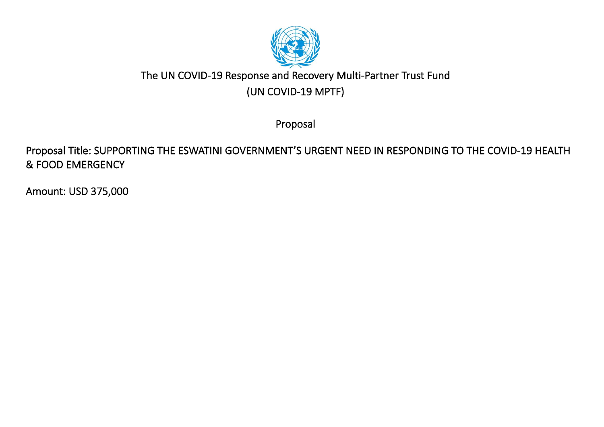

# The UN COVID-19 Response and Recovery Multi-Partner Trust Fund (UN COVID-19 MPTF)

Proposal

Proposal Title: SUPPORTING THE ESWATINI GOVERNMENT'S URGENT NEED IN RESPONDING TO THE COVID-19 HEALTH & FOOD EMERGENCY

Amount: USD 375,000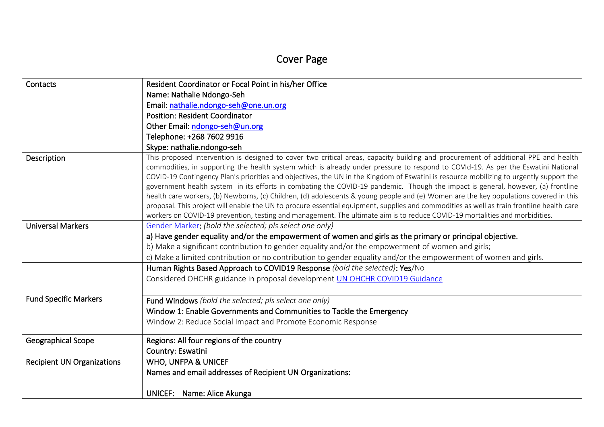# Cover Page

| Contacts                          | Resident Coordinator or Focal Point in his/her Office                                                                                                                                                                                                                                                                                                                                                                                                                                                                                                  |
|-----------------------------------|--------------------------------------------------------------------------------------------------------------------------------------------------------------------------------------------------------------------------------------------------------------------------------------------------------------------------------------------------------------------------------------------------------------------------------------------------------------------------------------------------------------------------------------------------------|
|                                   | Name: Nathalie Ndongo-Seh                                                                                                                                                                                                                                                                                                                                                                                                                                                                                                                              |
|                                   | Email: nathalie.ndongo-seh@one.un.org                                                                                                                                                                                                                                                                                                                                                                                                                                                                                                                  |
|                                   | <b>Position: Resident Coordinator</b>                                                                                                                                                                                                                                                                                                                                                                                                                                                                                                                  |
|                                   | Other Email: ndongo-seh@un.org                                                                                                                                                                                                                                                                                                                                                                                                                                                                                                                         |
|                                   | Telephone: +268 7602 9916                                                                                                                                                                                                                                                                                                                                                                                                                                                                                                                              |
|                                   | Skype: nathalie.ndongo-seh                                                                                                                                                                                                                                                                                                                                                                                                                                                                                                                             |
| Description                       | This proposed intervention is designed to cover two critical areas, capacity building and procurement of additional PPE and health<br>commodities, in supporting the health system which is already under pressure to respond to COVId-19. As per the Eswatini National<br>COVID-19 Contingency Plan's priorities and objectives, the UN in the Kingdom of Eswatini is resource mobilizing to urgently support the<br>government health system in its efforts in combating the COVID-19 pandemic. Though the impact is general, however, (a) frontline |
|                                   | health care workers, (b) Newborns, (c) Children, (d) adolescents & young people and (e) Women are the key populations covered in this<br>proposal. This project will enable the UN to procure essential equipment, supplies and commodities as well as train frontline health care<br>workers on COVID-19 prevention, testing and management. The ultimate aim is to reduce COVID-19 mortalities and morbidities.                                                                                                                                      |
| <b>Universal Markers</b>          | Gender Marker: (bold the selected; pls select one only)                                                                                                                                                                                                                                                                                                                                                                                                                                                                                                |
|                                   | a) Have gender equality and/or the empowerment of women and girls as the primary or principal objective.                                                                                                                                                                                                                                                                                                                                                                                                                                               |
|                                   | b) Make a significant contribution to gender equality and/or the empowerment of women and girls;                                                                                                                                                                                                                                                                                                                                                                                                                                                       |
|                                   | c) Make a limited contribution or no contribution to gender equality and/or the empowerment of women and girls.                                                                                                                                                                                                                                                                                                                                                                                                                                        |
|                                   | Human Rights Based Approach to COVID19 Response (bold the selected): Yes/No                                                                                                                                                                                                                                                                                                                                                                                                                                                                            |
|                                   | Considered OHCHR guidance in proposal development UN OHCHR COVID19 Guidance                                                                                                                                                                                                                                                                                                                                                                                                                                                                            |
| <b>Fund Specific Markers</b>      | Fund Windows (bold the selected; pls select one only)                                                                                                                                                                                                                                                                                                                                                                                                                                                                                                  |
|                                   | Window 1: Enable Governments and Communities to Tackle the Emergency                                                                                                                                                                                                                                                                                                                                                                                                                                                                                   |
|                                   | Window 2: Reduce Social Impact and Promote Economic Response                                                                                                                                                                                                                                                                                                                                                                                                                                                                                           |
| <b>Geographical Scope</b>         | Regions: All four regions of the country<br>Country: Eswatini                                                                                                                                                                                                                                                                                                                                                                                                                                                                                          |
| <b>Recipient UN Organizations</b> | <b>WHO, UNFPA &amp; UNICEF</b>                                                                                                                                                                                                                                                                                                                                                                                                                                                                                                                         |
|                                   | Names and email addresses of Recipient UN Organizations:                                                                                                                                                                                                                                                                                                                                                                                                                                                                                               |
|                                   | UNICEF: Name: Alice Akunga                                                                                                                                                                                                                                                                                                                                                                                                                                                                                                                             |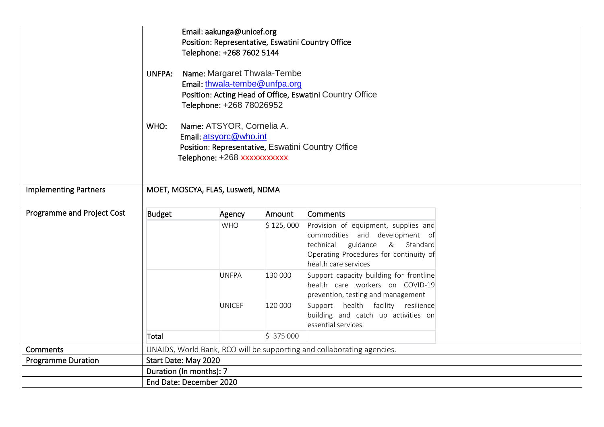|                              |                                   | Email: aakunga@unicef.org                                                                 |           |                                                                               |  |  |  |  |  |  |  |
|------------------------------|-----------------------------------|-------------------------------------------------------------------------------------------|-----------|-------------------------------------------------------------------------------|--|--|--|--|--|--|--|
|                              |                                   | Position: Representative, Eswatini Country Office                                         |           |                                                                               |  |  |  |  |  |  |  |
|                              |                                   | Telephone: +268 7602 5144                                                                 |           |                                                                               |  |  |  |  |  |  |  |
|                              |                                   |                                                                                           |           |                                                                               |  |  |  |  |  |  |  |
|                              |                                   | Name: Margaret Thwala-Tembe<br>UNFPA:                                                     |           |                                                                               |  |  |  |  |  |  |  |
|                              |                                   | Email: thwala-tembe@unfpa.org<br>Position: Acting Head of Office, Eswatini Country Office |           |                                                                               |  |  |  |  |  |  |  |
|                              |                                   |                                                                                           |           |                                                                               |  |  |  |  |  |  |  |
|                              | Telephone: +268 78026952          |                                                                                           |           |                                                                               |  |  |  |  |  |  |  |
|                              | WHO:                              | Name: ATSYOR, Cornelia A.                                                                 |           |                                                                               |  |  |  |  |  |  |  |
|                              |                                   | Email: atsyorc@who.int                                                                    |           |                                                                               |  |  |  |  |  |  |  |
|                              |                                   |                                                                                           |           | Position: Representative, Eswatini Country Office                             |  |  |  |  |  |  |  |
|                              |                                   | Telephone: +268 xxxxxxxxxxx                                                               |           |                                                                               |  |  |  |  |  |  |  |
|                              |                                   |                                                                                           |           |                                                                               |  |  |  |  |  |  |  |
| <b>Implementing Partners</b> | MOET, MOSCYA, FLAS, Lusweti, NDMA |                                                                                           |           |                                                                               |  |  |  |  |  |  |  |
|                              |                                   |                                                                                           |           |                                                                               |  |  |  |  |  |  |  |
| Programme and Project Cost   | <b>Budget</b>                     | Agency                                                                                    | Amount    | <b>Comments</b>                                                               |  |  |  |  |  |  |  |
|                              |                                   | <b>WHO</b>                                                                                | \$125,000 | Provision of equipment, supplies and                                          |  |  |  |  |  |  |  |
|                              |                                   |                                                                                           |           | commodities and development of                                                |  |  |  |  |  |  |  |
|                              |                                   |                                                                                           |           | technical<br>guidance<br>& Standard<br>Operating Procedures for continuity of |  |  |  |  |  |  |  |
|                              |                                   |                                                                                           |           | health care services                                                          |  |  |  |  |  |  |  |
|                              |                                   | <b>UNFPA</b>                                                                              | 130 000   | Support capacity building for frontline                                       |  |  |  |  |  |  |  |
|                              |                                   |                                                                                           |           | health care workers on COVID-19                                               |  |  |  |  |  |  |  |
|                              |                                   |                                                                                           |           | prevention, testing and management                                            |  |  |  |  |  |  |  |
|                              |                                   | <b>UNICEF</b>                                                                             | 120 000   | Support health facility resilience                                            |  |  |  |  |  |  |  |
|                              |                                   |                                                                                           |           | building and catch up activities on                                           |  |  |  |  |  |  |  |
|                              |                                   |                                                                                           |           | essential services                                                            |  |  |  |  |  |  |  |
|                              | Total                             |                                                                                           | \$375000  |                                                                               |  |  |  |  |  |  |  |
| Comments                     |                                   |                                                                                           |           | UNAIDS, World Bank, RCO will be supporting and collaborating agencies.        |  |  |  |  |  |  |  |
| <b>Programme Duration</b>    | Start Date: May 2020              |                                                                                           |           |                                                                               |  |  |  |  |  |  |  |
|                              | Duration (In months): 7           |                                                                                           |           |                                                                               |  |  |  |  |  |  |  |
|                              | End Date: December 2020           |                                                                                           |           |                                                                               |  |  |  |  |  |  |  |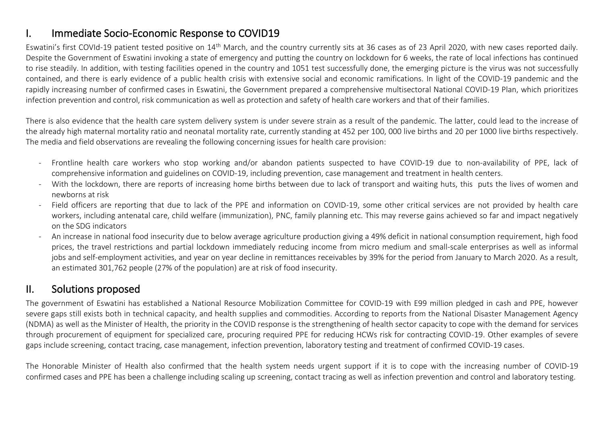## I. Immediate Socio-Economic Response to COVID19

Eswatini's first COVId-19 patient tested positive on 14th March, and the country currently sits at 36 cases as of 23 April 2020, with new cases reported daily. Despite the Government of Eswatini invoking a state of emergency and putting the country on lockdown for 6 weeks, the rate of local infections has continued to rise steadily. In addition, with testing facilities opened in the country and 1051 test successfully done, the emerging picture is the virus was not successfully contained, and there is early evidence of a public health crisis with extensive social and economic ramifications. In light of the COVID-19 pandemic and the rapidly increasing number of confirmed cases in Eswatini, the Government prepared a comprehensive multisectoral National COVID-19 Plan, which prioritizes infection prevention and control, risk communication as well as protection and safety of health care workers and that of their families.

There is also evidence that the health care system delivery system is under severe strain as a result of the pandemic. The latter, could lead to the increase of the already high maternal mortality ratio and neonatal mortality rate, currently standing at 452 per 100, 000 live births and 20 per 1000 live births respectively. The media and field observations are revealing the following concerning issues for health care provision:

- Frontline health care workers who stop working and/or abandon patients suspected to have COVID-19 due to non-availability of PPE, lack of comprehensive information and guidelines on COVID-19, including prevention, case management and treatment in health centers.
- With the lockdown, there are reports of increasing home births between due to lack of transport and waiting huts, this puts the lives of women and newborns at risk
- Field officers are reporting that due to lack of the PPE and information on COVID-19, some other critical services are not provided by health care workers, including antenatal care, child welfare (immunization), PNC, family planning etc. This may reverse gains achieved so far and impact negatively on the SDG indicators
- An increase in national food insecurity due to below average agriculture production giving a 49% deficit in national consumption requirement, high food prices, the travel restrictions and partial lockdown immediately reducing income from micro medium and small-scale enterprises as well as informal jobs and self-employment activities, and year on year decline in remittances receivables by 39% for the period from January to March 2020. As a result, an estimated 301,762 people (27% of the population) are at risk of food insecurity.

### II. Solutions proposed

The government of Eswatini has established a National Resource Mobilization Committee for COVID-19 with E99 million pledged in cash and PPE, however severe gaps still exists both in technical capacity, and health supplies and commodities. According to reports from the National Disaster Management Agency (NDMA) as well as the Minister of Health, the priority in the COVID response is the strengthening of health sector capacity to cope with the demand for services through procurement of equipment for specialized care, procuring required PPE for reducing HCWs risk for contracting COVID-19. Other examples of severe gaps include screening, contact tracing, case management, infection prevention, laboratory testing and treatment of confirmed COVID-19 cases.

The Honorable Minister of Health also confirmed that the health system needs urgent support if it is to cope with the increasing number of COVID-19 confirmed cases and PPE has been a challenge including scaling up screening, contact tracing as well as infection prevention and control and laboratory testing.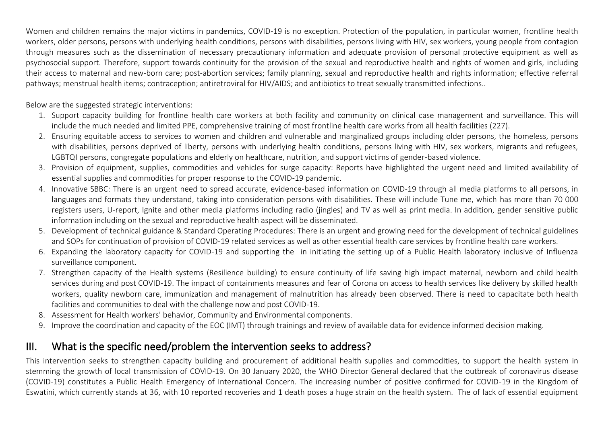Women and children remains the major victims in pandemics, COVID-19 is no exception. Protection of the population, in particular women, frontline health workers, older persons, persons with underlying health conditions, persons with disabilities, persons living with HIV, sex workers, young people from contagion through measures such as the dissemination of necessary precautionary information and adequate provision of personal protective equipment as well as psychosocial support. Therefore, support towards continuity for the provision of the sexual and reproductive health and rights of women and girls, including their access to maternal and new-born care; post-abortion services; family planning, sexual and reproductive health and rights information; effective referral pathways; menstrual health items; contraception; antiretroviral for HIV/AIDS; and antibiotics to treat sexually transmitted infections..

Below are the suggested strategic interventions:

- 1. Support capacity building for frontline health care workers at both facility and community on clinical case management and surveillance. This will include the much needed and limited PPE, comprehensive training of most frontline health care works from all health facilities (227).
- 2. Ensuring equitable access to services to women and children and vulnerable and marginalized groups including older persons, the homeless, persons with disabilities, persons deprived of liberty, persons with underlying health conditions, persons living with HIV, sex workers, migrants and refugees, LGBTQI persons, congregate populations and elderly on healthcare, nutrition, and support victims of gender-based violence.
- 3. Provision of equipment, supplies, commodities and vehicles for surge capacity: Reports have highlighted the urgent need and limited availability of essential supplies and commodities for proper response to the COVID-19 pandemic.
- 4. Innovative SBBC: There is an urgent need to spread accurate, evidence-based information on COVID-19 through all media platforms to all persons, in languages and formats they understand, taking into consideration persons with disabilities. These will include Tune me, which has more than 70 000 registers users, U-report, Ignite and other media platforms including radio (jingles) and TV as well as print media. In addition, gender sensitive public information including on the sexual and reproductive health aspect will be disseminated.
- 5. Development of technical guidance & Standard Operating Procedures: There is an urgent and growing need for the development of technical guidelines and SOPs for continuation of provision of COVID-19 related services as well as other essential health care services by frontline health care workers.
- 6. Expanding the laboratory capacity for COVID-19 and supporting the in initiating the setting up of a Public Health laboratory inclusive of Influenza surveillance component.
- 7. Strengthen capacity of the Health systems (Resilience building) to ensure continuity of life saving high impact maternal, newborn and child health services during and post COVID-19. The impact of containments measures and fear of Corona on access to health services like delivery by skilled health workers, quality newborn care, immunization and management of malnutrition has already been observed. There is need to capacitate both health facilities and communities to deal with the challenge now and post COVID-19.
- 8. Assessment for Health workers' behavior, Community and Environmental components.
- 9. Improve the coordination and capacity of the EOC (IMT) through trainings and review of available data for evidence informed decision making.

## III. What is the specific need/problem the intervention seeks to address?

This intervention seeks to strengthen capacity building and procurement of additional health supplies and commodities, to support the health system in stemming the growth of local transmission of COVID-19. On 30 January 2020, the WHO Director General declared that the outbreak of coronavirus disease (COVID-19) constitutes a Public Health Emergency of International Concern. The increasing number of positive confirmed for COVID-19 in the Kingdom of Eswatini, which currently stands at 36, with 10 reported recoveries and 1 death poses a huge strain on the health system. The of lack of essential equipment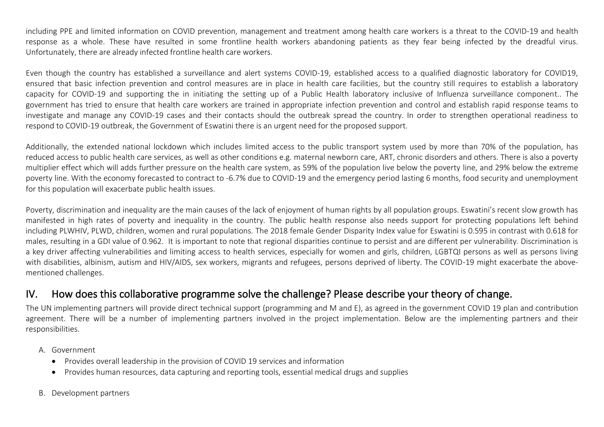including PPE and limited information on COVID prevention, management and treatment among health care workers is a threat to the COVID-19 and health response as a whole. These have resulted in some frontline health workers abandoning patients as they fear being infected by the dreadful virus. Unfortunately, there are already infected frontline health care workers.

Even though the country has established a surveillance and alert systems COVID-19, established access to a qualified diagnostic laboratory for COVID19, ensured that basic infection prevention and control measures are in place in health care facilities, but the country still requires to establish a laboratory capacity for COVID-19 and supporting the in initiating the setting up of a Public Health laboratory inclusive of Influenza surveillance component.. The government has tried to ensure that health care workers are trained in appropriate infection prevention and control and establish rapid response teams to investigate and manage any COVID-19 cases and their contacts should the outbreak spread the country. In order to strengthen operational readiness to respond to COVID-19 outbreak, the Government of Eswatini there is an urgent need for the proposed support.

Additionally, the extended national lockdown which includes limited access to the public transport system used by more than 70% of the population, has reduced access to public health care services, as well as other conditions e.g. maternal newborn care, ART, chronic disorders and others. There is also a poverty multiplier effect which will adds further pressure on the health care system, as 59% of the population live below the poverty line, and 29% below the extreme poverty line. With the economy forecasted to contract to -6.7% due to COVID-19 and the emergency period lasting 6 months, food security and unemployment for this population will exacerbate public health issues.

Poverty, discrimination and inequality are the main causes of the lack of enjoyment of human rights by all population groups. Eswatini's recent slow growth has manifested in high rates of poverty and inequality in the country. The public health response also needs support for protecting populations left behind including PLWHIV, PLWD, children, women and rural populations. The 2018 female Gender Disparity Index value for Eswatini is 0.595 in contrast with 0.618 for males, resulting in a GDI value of 0.962. It is important to note that regional disparities continue to persist and are different per vulnerability. Discrimination is a key driver affecting vulnerabilities and limiting access to health services, especially for women and girls, children, LGBTQI persons as well as persons living with disabilities, albinism, autism and HIV/AIDS, sex workers, migrants and refugees, persons deprived of liberty. The COVID-19 might exacerbate the abovementioned challenges.

### IV. How does this collaborative programme solve the challenge? Please describe your theory of change.

The UN implementing partners will provide direct technical support (programming and M and E), as agreed in the government COVID 19 plan and contribution agreement. There will be a number of implementing partners involved in the project implementation. Below are the implementing partners and their responsibilities.

- A. Government
	- Provides overall leadership in the provision of COVID 19 services and information
	- Provides human resources, data capturing and reporting tools, essential medical drugs and supplies
- B. Development partners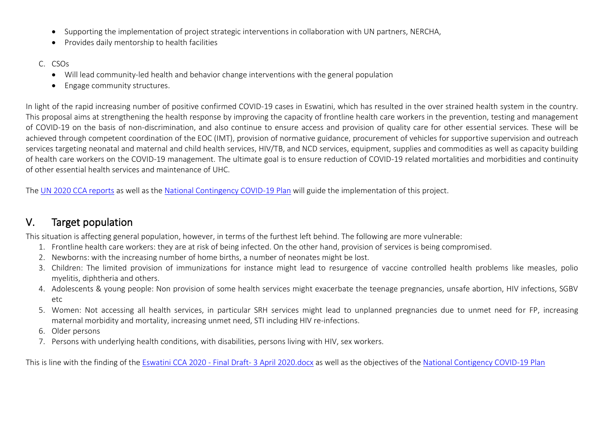- Supporting the implementation of project strategic interventions in collaboration with UN partners, NERCHA,
- Provides daily mentorship to health facilities
- C. CSOs
	- Will lead community-led health and behavior change interventions with the general population
	- Engage community structures.

In light of the rapid increasing number of positive confirmed COVID-19 cases in Eswatini, which has resulted in the over strained health system in the country. This proposal aims at strengthening the health response by improving the capacity of frontline health care workers in the prevention, testing and management of COVID-19 on the basis of non-discrimination, and also continue to ensure access and provision of quality care for other essential services. These will be achieved through competent coordination of the EOC (IMT), provision of normative guidance, procurement of vehicles for supportive supervision and outreach services targeting neonatal and maternal and child health services, HIV/TB, and NCD services, equipment, supplies and commodities as well as capacity building of health care workers on the COVID-19 management. The ultimate goal is to ensure reduction of COVID-19 related mortalities and morbidities and continuity of other essential health services and maintenance of UHC.

The [UN 2020 CCA reports](../../../../../../../../../../AppData/AppData/Local/Microsoft/Windows/INetCache/Content.Outlook/AppData/Local/Microsoft/Windows/INetCache/fanele.chester/AppData/CPD%2019/CCA/Eswatini%20CCA%202020%20-%20Final%20Draft-%203%20April%202020.docx) as well as the [National Contingency COVID-19 Plan](../../../../../../../../../../AppData/AppData/Local/Microsoft/Windows/INetCache/Content.Outlook/AppData/Local/Microsoft/Windows/INetCache/fanele.chester/AppData/CPD%2019/Final%20%20Eswatini%20National%20Novel%20Coronavirus%20Preparedness%20and%20Response%20Plan%202020%20.pdf) will guide the implementation of this project.

### V. Target population

This situation is affecting general population, however, in terms of the furthest left behind. The following are more vulnerable:

- 1. Frontline health care workers: they are at risk of being infected. On the other hand, provision of services is being compromised.
- 2. Newborns: with the increasing number of home births, a number of neonates might be lost.
- 3. Children: The limited provision of immunizations for instance might lead to resurgence of vaccine controlled health problems like measles, polio myelitis, diphtheria and others.
- 4. Adolescents & young people: Non provision of some health services might exacerbate the teenage pregnancies, unsafe abortion, HIV infections, SGBV etc
- 5. Women: Not accessing all health services, in particular SRH services might lead to unplanned pregnancies due to unmet need for FP, increasing maternal morbidity and mortality, increasing unmet need, STI including HIV re-infections.
- 6. Older persons
- 7. Persons with underlying health conditions, with disabilities, persons living with HIV, sex workers.

This is line with the finding of the [Eswatini CCA 2020 -](../../../../../../../../../../AppData/AppData/Local/Microsoft/Windows/INetCache/Content.Outlook/AppData/Local/Microsoft/Windows/INetCache/fanele.chester/AppData/CPD%2019/CCA/Eswatini%20CCA%202020%20-%20Final%20Draft-%203%20April%202020.docx) Final Draft- 3 April 2020.docx as well as the objectives of the [National Contigency COVID-19 Plan](../../../../../../../../../../AppData/AppData/Local/Microsoft/Windows/INetCache/Content.Outlook/AppData/Local/Microsoft/Windows/INetCache/fanele.chester/AppData/CPD%2019/Final%20%20Eswatini%20National%20Novel%20Coronavirus%20Preparedness%20and%20Response%20Plan%202020%20.pdf)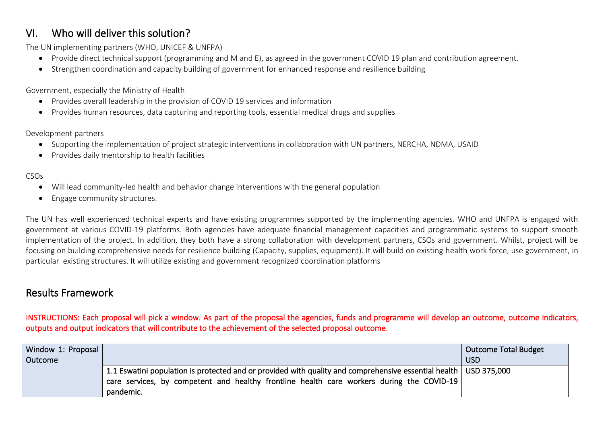## VI. Who will deliver this solution?

The UN implementing partners (WHO, UNICEF & UNFPA)

- Provide direct technical support (programming and M and E), as agreed in the government COVID 19 plan and contribution agreement.
- Strengthen coordination and capacity building of government for enhanced response and resilience building

Government, especially the Ministry of Health

- Provides overall leadership in the provision of COVID 19 services and information
- Provides human resources, data capturing and reporting tools, essential medical drugs and supplies

Development partners

- Supporting the implementation of project strategic interventions in collaboration with UN partners, NERCHA, NDMA, USAID
- Provides daily mentorship to health facilities

#### CSOs

- Will lead community-led health and behavior change interventions with the general population
- Engage community structures.

The UN has well experienced technical experts and have existing programmes supported by the implementing agencies. WHO and UNFPA is engaged with government at various COVID-19 platforms. Both agencies have adequate financial management capacities and programmatic systems to support smooth implementation of the project. In addition, they both have a strong collaboration with development partners, CSOs and government. Whilst, project will be focusing on building comprehensive needs for resilience building (Capacity, supplies, equipment). It will build on existing health work force, use government, in particular existing structures. It will utilize existing and government recognized coordination platforms

### Results Framework

INSTRUCTIONS: Each proposal will pick a window. As part of the proposal the agencies, funds and programme will develop an outcome, outcome indicators, outputs and output indicators that will contribute to the achievement of the selected proposal outcome.

| Window 1: Proposal |                                                                                                                                                                                                                              | Outcome Total Budget |
|--------------------|------------------------------------------------------------------------------------------------------------------------------------------------------------------------------------------------------------------------------|----------------------|
| Outcome            |                                                                                                                                                                                                                              | <b>USD</b>           |
|                    | 1.1 Eswatini population is protected and or provided with quality and comprehensive essential health   USD 375,000<br>care services, by competent and healthy frontline health care workers during the COVID-19<br>pandemic. |                      |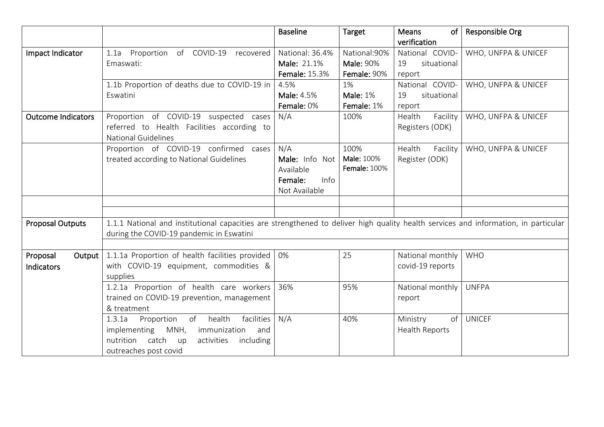|                           |                                                                                                                                     | <b>Baseline</b>      | Target              | Means<br>of           | Responsible Org     |
|---------------------------|-------------------------------------------------------------------------------------------------------------------------------------|----------------------|---------------------|-----------------------|---------------------|
|                           |                                                                                                                                     |                      |                     | verification          |                     |
| Impact Indicator          | Proportion of COVID-19<br>recovered<br>1.1a                                                                                         | National: 36.4%      | National: 90%       | National COVID-       | WHO, UNFPA & UNICEF |
|                           | Emaswati:                                                                                                                           | Male: 21.1%          | <b>Male: 90%</b>    | situational<br>19     |                     |
|                           |                                                                                                                                     | <b>Female: 15.3%</b> | Female: 90%         | report                |                     |
|                           | 1.1b Proportion of deaths due to COVID-19 in                                                                                        | 4.5%                 | 1%                  | National COVID-       | WHO, UNFPA & UNICEF |
|                           | Eswatini                                                                                                                            | <b>Male: 4.5%</b>    | <b>Male: 1%</b>     | situational<br>19     |                     |
|                           |                                                                                                                                     | Female: 0%           | Female: 1%          | report                |                     |
| <b>Outcome Indicators</b> | Proportion of COVID-19 suspected cases                                                                                              | N/A                  | 100%                | Health<br>Facility    | WHO, UNFPA & UNICEF |
|                           | referred to Health Facilities according to                                                                                          |                      |                     | Registers (ODK)       |                     |
|                           | <b>National Guidelines</b>                                                                                                          |                      |                     |                       |                     |
|                           | Proportion of COVID-19 confirmed cases                                                                                              | N/A                  | 100%                | Health<br>Facility    | WHO, UNFPA & UNICEF |
|                           | treated according to National Guidelines                                                                                            | Male: Info Not       | Male: 100%          | Register (ODK)        |                     |
|                           |                                                                                                                                     | Available            | <b>Female: 100%</b> |                       |                     |
|                           |                                                                                                                                     | Female:<br>Info      |                     |                       |                     |
|                           |                                                                                                                                     | Not Available        |                     |                       |                     |
|                           |                                                                                                                                     |                      |                     |                       |                     |
|                           |                                                                                                                                     |                      |                     |                       |                     |
| <b>Proposal Outputs</b>   | 1.1.1 National and institutional capacities are strengthened to deliver high quality health services and information, in particular |                      |                     |                       |                     |
|                           | during the COVID-19 pandemic in Eswatini                                                                                            |                      |                     |                       |                     |
|                           |                                                                                                                                     |                      |                     |                       |                     |
| Proposal<br>Output        | 1.1.1a Proportion of health facilities provided                                                                                     | 0%                   | 25                  | National monthly      | <b>WHO</b>          |
| <b>Indicators</b>         | with COVID-19 equipment, commodities &                                                                                              |                      |                     | covid-19 reports      |                     |
|                           | supplies                                                                                                                            |                      |                     |                       |                     |
|                           | 1.2.1a Proportion of health care workers                                                                                            | 36%                  | 95%                 | National monthly      | <b>UNFPA</b>        |
|                           | trained on COVID-19 prevention, management                                                                                          |                      |                     | report                |                     |
|                           | & treatment                                                                                                                         |                      |                     |                       |                     |
|                           | health<br>facilities<br>Proportion<br>of<br>1.3.1a                                                                                  | N/A                  | 40%                 | of<br>Ministry        | <b>UNICEF</b>       |
|                           | implementing<br>MNH,<br>immunization<br>and                                                                                         |                      |                     | <b>Health Reports</b> |                     |
|                           | catch<br>nutrition<br>activities<br>including<br>up                                                                                 |                      |                     |                       |                     |
|                           | outreaches post covid                                                                                                               |                      |                     |                       |                     |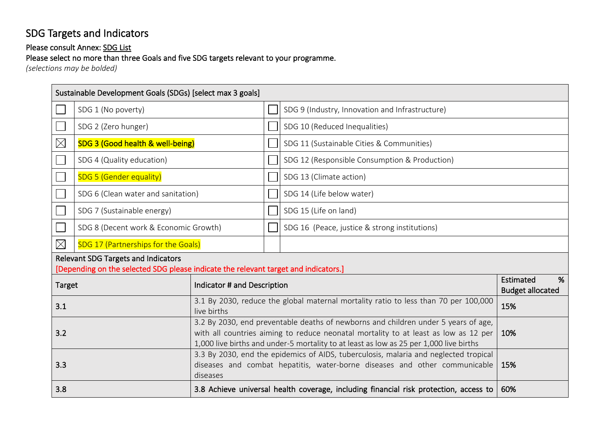# SDG Targets and Indicators

### Please consult Annex: SDG List

Please select no more than three Goals and five SDG targets relevant to your programme.

*(selections may be bolded)* 

|                 | Sustainable Development Goals (SDGs) [select max 3 goals]                                                                         |                             |  |                                                                                                                                                                                                                                                                     |                                           |  |
|-----------------|-----------------------------------------------------------------------------------------------------------------------------------|-----------------------------|--|---------------------------------------------------------------------------------------------------------------------------------------------------------------------------------------------------------------------------------------------------------------------|-------------------------------------------|--|
|                 | SDG 1 (No poverty)                                                                                                                |                             |  | SDG 9 (Industry, Innovation and Infrastructure)                                                                                                                                                                                                                     |                                           |  |
|                 | SDG 2 (Zero hunger)                                                                                                               |                             |  | SDG 10 (Reduced Inequalities)                                                                                                                                                                                                                                       |                                           |  |
| $\boxtimes$     | SDG 3 (Good health & well-being)                                                                                                  |                             |  | SDG 11 (Sustainable Cities & Communities)                                                                                                                                                                                                                           |                                           |  |
|                 | SDG 4 (Quality education)                                                                                                         |                             |  | SDG 12 (Responsible Consumption & Production)                                                                                                                                                                                                                       |                                           |  |
|                 | SDG 5 (Gender equality)                                                                                                           |                             |  | SDG 13 (Climate action)                                                                                                                                                                                                                                             |                                           |  |
|                 | SDG 6 (Clean water and sanitation)                                                                                                |                             |  | SDG 14 (Life below water)                                                                                                                                                                                                                                           |                                           |  |
|                 | SDG 7 (Sustainable energy)                                                                                                        |                             |  | SDG 15 (Life on land)                                                                                                                                                                                                                                               |                                           |  |
|                 | SDG 8 (Decent work & Economic Growth)                                                                                             |                             |  | SDG 16 (Peace, justice & strong institutions)                                                                                                                                                                                                                       |                                           |  |
| $\boxtimes$     | SDG 17 (Partnerships for the Goals)                                                                                               |                             |  |                                                                                                                                                                                                                                                                     |                                           |  |
|                 | <b>Relevant SDG Targets and Indicators</b><br>[Depending on the selected SDG please indicate the relevant target and indicators.] |                             |  |                                                                                                                                                                                                                                                                     |                                           |  |
| <b>Target</b>   |                                                                                                                                   | Indicator # and Description |  |                                                                                                                                                                                                                                                                     | Estimated<br>%<br><b>Budget allocated</b> |  |
| 3.1             |                                                                                                                                   | live births                 |  | 3.1 By 2030, reduce the global maternal mortality ratio to less than 70 per 100,000                                                                                                                                                                                 | 15%                                       |  |
| 3.2             |                                                                                                                                   |                             |  | 3.2 By 2030, end preventable deaths of newborns and children under 5 years of age,<br>with all countries aiming to reduce neonatal mortality to at least as low as 12 per<br>1,000 live births and under-5 mortality to at least as low as 25 per 1,000 live births |                                           |  |
| 3.3<br>diseases |                                                                                                                                   |                             |  | 3.3 By 2030, end the epidemics of AIDS, tuberculosis, malaria and neglected tropical<br>diseases and combat hepatitis, water-borne diseases and other communicable                                                                                                  | 15%                                       |  |
| 3.8             |                                                                                                                                   |                             |  | 3.8 Achieve universal health coverage, including financial risk protection, access to                                                                                                                                                                               | 60%                                       |  |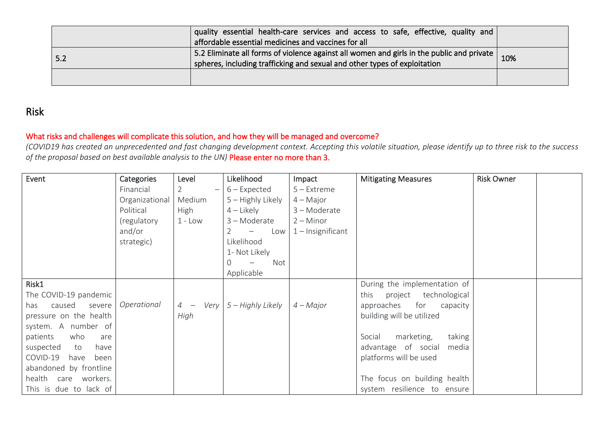| quality essential health-care services and access to safe, effective, quality and<br>affordable essential medicines and vaccines for all                                 |     |
|--------------------------------------------------------------------------------------------------------------------------------------------------------------------------|-----|
| 5.2 Eliminate all forms of violence against all women and girls in the public and private  <br>spheres, including trafficking and sexual and other types of exploitation | 10% |
|                                                                                                                                                                          |     |

### Risk

### What risks and challenges will complicate this solution, and how they will be managed and overcome?

*(COVID19 has created an unprecedented and fast changing development context. Accepting this volatile situation, please identify up to three risk to the success of the proposal based on best available analysis to the UN)* Please enter no more than 3.

| Event                    | Categories     | Level            | Likelihood                      | Impact              | <b>Mitigating Measures</b>     | <b>Risk Owner</b> |  |
|--------------------------|----------------|------------------|---------------------------------|---------------------|--------------------------------|-------------------|--|
|                          | Financial      | $2 \overline{ }$ | $6$ – Expected                  | $5 -$ Extreme       |                                |                   |  |
|                          | Organizational | Medium           | 5 - Highly Likely               | $4 - Major$         |                                |                   |  |
|                          | Political      | <b>High</b>      | $4$ – Likely                    | 3-Moderate          |                                |                   |  |
|                          | (regulatory    | $1 - Low$        | 3 - Moderate                    | $2 -$ Minor         |                                |                   |  |
|                          | and/or         |                  | Low<br>$\overline{\phantom{m}}$ | $1$ – Insignificant |                                |                   |  |
|                          | strategic)     |                  | Likelihood                      |                     |                                |                   |  |
|                          |                |                  | 1- Not Likely                   |                     |                                |                   |  |
|                          |                |                  | Not<br>0                        |                     |                                |                   |  |
|                          |                |                  | Applicable                      |                     |                                |                   |  |
| Risk1                    |                |                  |                                 |                     | During the implementation of   |                   |  |
| The COVID-19 pandemic    |                |                  |                                 |                     | project technological<br>this  |                   |  |
| caused<br>severe<br>has  | Operational    | $4 -$            | Very $5 -$ Highly Likely        | $4 - Major$         | for<br>approaches<br>capacity  |                   |  |
| pressure on the health   |                | High             |                                 |                     | building will be utilized      |                   |  |
| system. A number of      |                |                  |                                 |                     |                                |                   |  |
| patients<br>who<br>are   |                |                  |                                 |                     | marketing,<br>taking<br>Social |                   |  |
| suspected<br>have<br>to  |                |                  |                                 |                     | advantage of social<br>media   |                   |  |
| COVID-19<br>have<br>been |                |                  |                                 |                     | platforms will be used         |                   |  |
| abandoned by frontline   |                |                  |                                 |                     |                                |                   |  |
| health care workers.     |                |                  |                                 |                     | The focus on building health   |                   |  |
| This is due to lack of   |                |                  |                                 |                     | system resilience to ensure    |                   |  |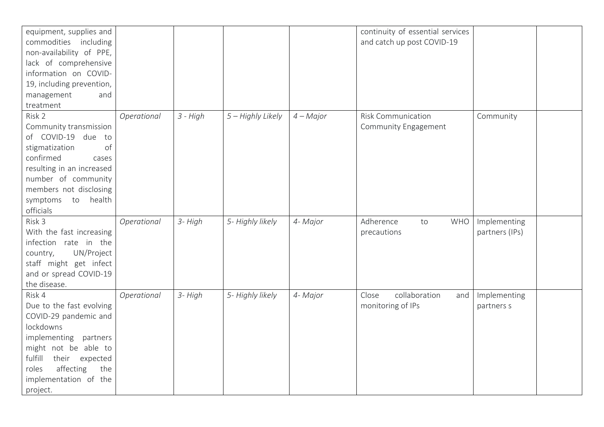| equipment, supplies and<br>commodities including<br>non-availability of PPE,<br>lack of comprehensive                                                                                                                    |             |            |                   |             | continuity of essential services<br>and catch up post COVID-19 |                                |  |
|--------------------------------------------------------------------------------------------------------------------------------------------------------------------------------------------------------------------------|-------------|------------|-------------------|-------------|----------------------------------------------------------------|--------------------------------|--|
| information on COVID-<br>19, including prevention,                                                                                                                                                                       |             |            |                   |             |                                                                |                                |  |
| management<br>and<br>treatment                                                                                                                                                                                           |             |            |                   |             |                                                                |                                |  |
| Risk 2<br>Community transmission<br>of COVID-19 due to<br>of<br>stigmatization<br>confirmed<br>cases<br>resulting in an increased<br>number of community<br>members not disclosing<br>symptoms to health<br>officials    | Operational | $3 - High$ | 5 - Highly Likely | $4 - Major$ | <b>Risk Communication</b><br>Community Engagement              | Community                      |  |
| Risk 3<br>With the fast increasing<br>infection rate in the<br>UN/Project<br>country,<br>staff might get infect<br>and or spread COVID-19<br>the disease.                                                                | Operational | 3- High    | 5- Highly likely  | 4- Major    | Adherence<br><b>WHO</b><br>to<br>precautions                   | Implementing<br>partners (IPs) |  |
| Risk 4<br>Due to the fast evolving<br>COVID-29 pandemic and<br>lockdowns<br>implementing partners<br>might not be able to<br>fulfill<br>their expected<br>affecting<br>the<br>roles<br>implementation of the<br>project. | Operational | 3- High    | 5- Highly likely  | 4- Major    | collaboration<br>Close<br>and<br>monitoring of IPs             | Implementing<br>partners s     |  |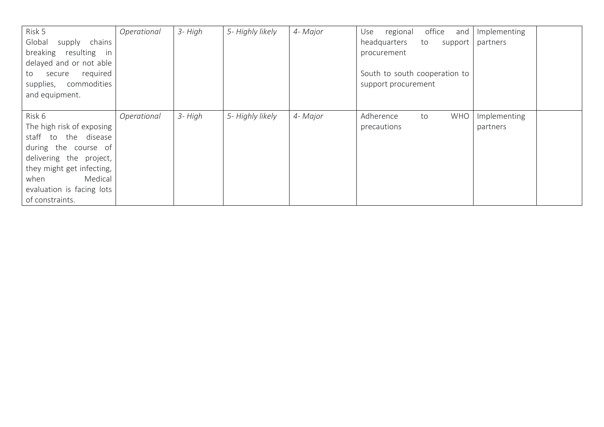| Risk 5<br>Global<br>chains<br>supply<br>breaking<br>resulting<br>in.<br>delayed and or not able<br>required<br>secure<br>to<br>commodities<br>supplies,<br>and equipment.                                      | Operational | 3- High | 5- Highly likely | 4- Major | office<br>regional<br>and<br>Use<br>headquarters<br>to<br>support<br>procurement<br>South to south cooperation to<br>support procurement | Implementing<br>partners |
|----------------------------------------------------------------------------------------------------------------------------------------------------------------------------------------------------------------|-------------|---------|------------------|----------|------------------------------------------------------------------------------------------------------------------------------------------|--------------------------|
| Risk 6<br>The high risk of exposing<br>staff to the disease<br>during the course of<br>delivering the project,<br>they might get infecting,<br>Medical<br>when<br>evaluation is facing lots<br>of constraints. | Operational | 3- High | 5- Highly likely | 4- Major | Adherence<br><b>WHO</b><br>to<br>precautions                                                                                             | Implementing<br>partners |